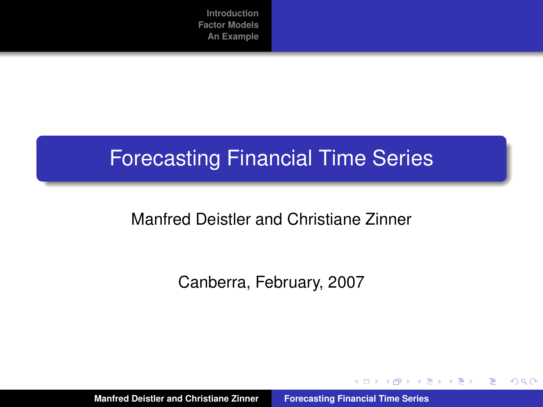# Forecasting Financial Time Series

## Manfred Deistler and Christiane Zinner

Canberra, February, 2007

**Manfred Deistler and Christiane Zinner [Forecasting Financial Time Series](#page-52-0)**

イロメ イ団メ イヨメ イヨメー

 $299$ 

<span id="page-0-0"></span>重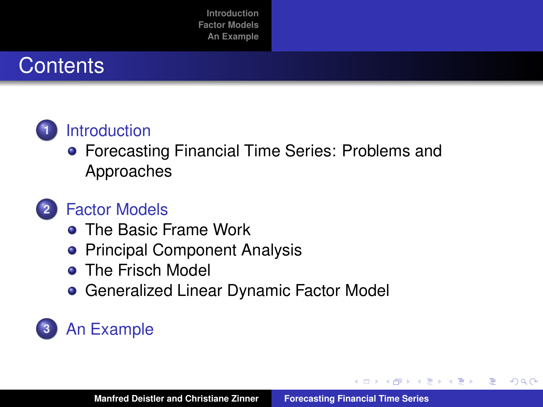# **Contents**



## **1** [Introduction](#page-2-0)

**• [Forecasting Financial Time Series: Problems and](#page-2-0)** [Approaches](#page-2-0)

# **2** [Factor Models](#page-8-0)

- **[The Basic Frame Work](#page-9-0)**
- **[Principal Component Analysis](#page-14-0)**
- [The Frisch Model](#page-18-0)
- **[Generalized Linear Dynamic Factor Model](#page-23-0)**

# **3** [An Example](#page-41-0)

→ 重き → 重き →

重

 $2Q$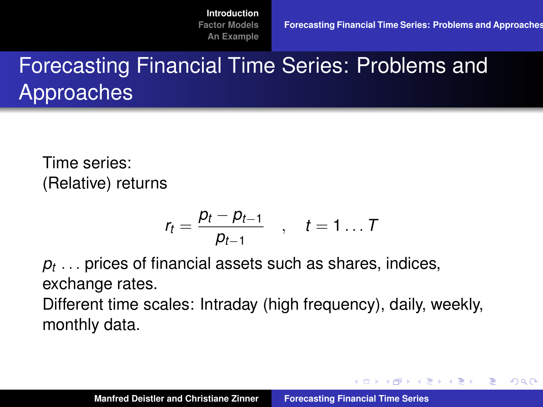**イロト (母) (ヨ) (ヨ)** 

B

<span id="page-2-0"></span> $QQ$ 

# Forecasting Financial Time Series: Problems and Approaches

Time series: (Relative) returns

$$
r_t = \frac{p_t - p_{t-1}}{p_{t-1}} \quad , \quad t = 1 \ldots T
$$

*pt* . . . prices of financial assets such as shares, indices, exchange rates.

Different time scales: Intraday (high frequency), daily, weekly, monthly data.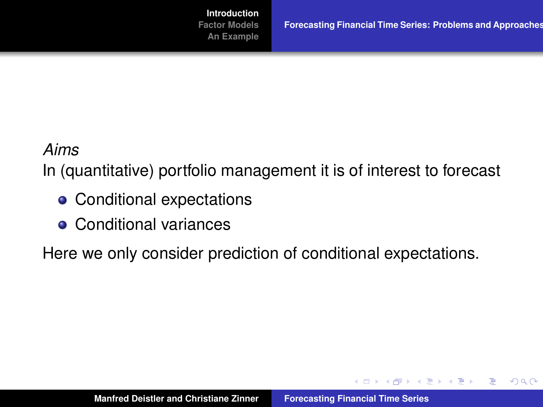**イロト (母) (ヨ) (ヨ)** 

 $299$ 

重

#### *Aims*

In (quantitative) portfolio management it is of interest to forecast

- Conditional expectations
- **Conditional variances**

Here we only consider prediction of conditional expectations.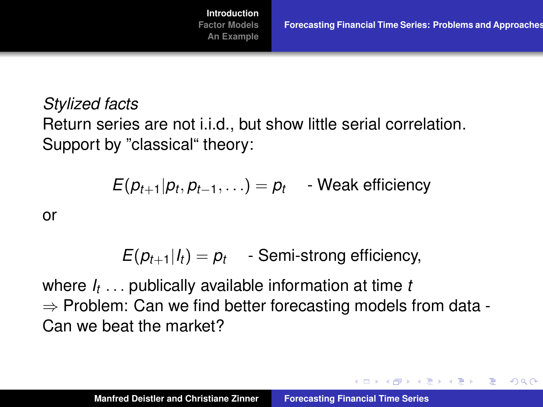イロン イ部ン イ君ン イ君ン 一番

 $QQ$ 

*Stylized facts* Return series are not i.i.d., but show little serial correlation. Support by "classical" theory:

$$
E(p_{t+1}|p_t, p_{t-1}, \ldots) = p_t \quad \text{- Weak efficiency}
$$

or

 $E(p_{t+1}|I_t) = p_t$  - Semi-strong efficiency,

where *I<sup>t</sup>* . . . publically available information at time *t*  $\Rightarrow$  Problem: Can we find better forecasting models from data -Can we beat the market?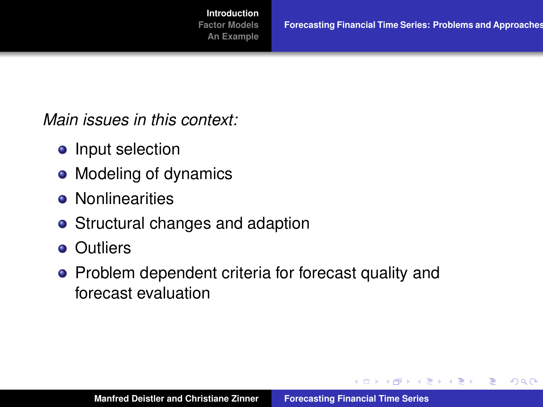イロメ イ団メ イヨメ イヨメー

重

 $298$ 

*Main issues in this context:*

- Input selection
- Modeling of dynamics
- **•** Nonlinearities
- Structural changes and adaption
- **o** Outliers
- Problem dependent criteria for forecast quality and forecast evaluation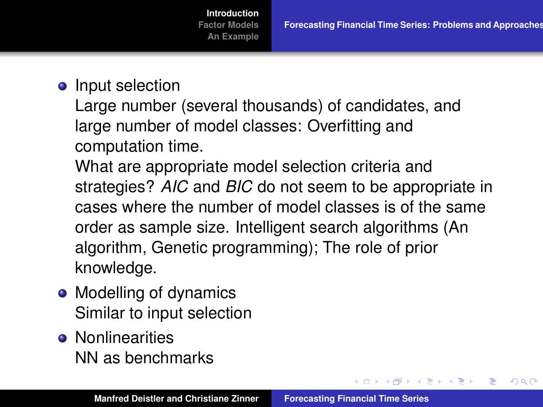す 御 メ イ 重 メ イ 重 メー

重

 $298$ 

**[Introduction](#page-2-0) [Factor Models](#page-8-0) [An Example](#page-41-0)**

• Input selection

Large number (several thousands) of candidates, and large number of model classes: Overfitting and computation time.

What are appropriate model selection criteria and strategies? *AIC* and *BIC* do not seem to be appropriate in cases where the number of model classes is of the same order as sample size. Intelligent search algorithms (An algorithm, Genetic programming); The role of prior knowledge.

- Modelling of dynamics Similar to input selection
- **e** Nonlinearities NN as benchmarks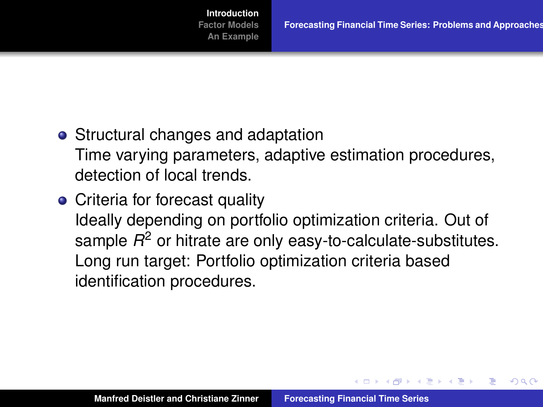$\overline{AB}$   $\rightarrow$   $\overline{B}$   $\rightarrow$   $\overline{B}$   $\rightarrow$ 

<span id="page-7-0"></span>Þ

 $QQ$ 

- Structural changes and adaptation Time varying parameters, adaptive estimation procedures, detection of local trends.
- Criteria for forecast quality Ideally depending on portfolio optimization criteria. Out of sample *R* <sup>2</sup> or hitrate are only easy-to-calculate-substitutes. Long run target: Portfolio optimization criteria based identification procedures.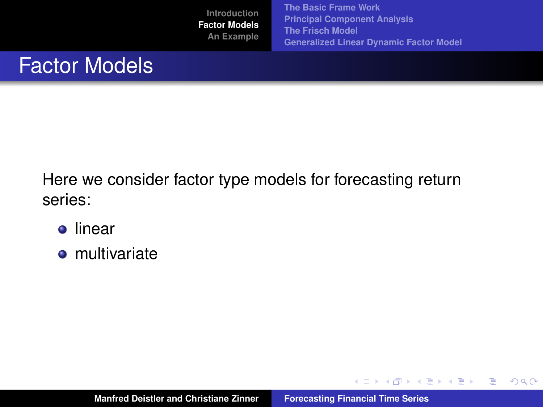**[The Basic Frame Work](#page-9-0) [Principal Component Analysis](#page-14-0) [The Frisch Model](#page-18-0) [Generalized Linear Dynamic Factor Model](#page-23-0)**

イロメ イ部メ イヨメ イヨメー

 $2Q$ 

<span id="page-8-0"></span>重

# Factor Models

Here we consider factor type models for forecasting return series:

- **o** linear
- **o** multivariate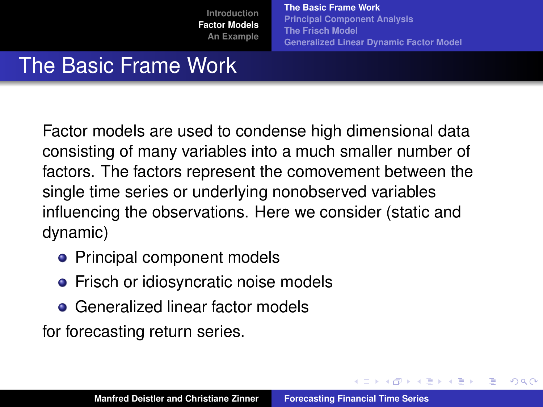**[The Basic Frame Work](#page-9-0) [Principal Component Analysis](#page-14-0) [The Frisch Model](#page-18-0) [Generalized Linear Dynamic Factor Model](#page-23-0)**

 $\left\{ \begin{array}{ccc} 1 & 0 & 0 \\ 0 & 1 & 0 \end{array} \right.$ 

<span id="page-9-0"></span>Þ

 $QQ$ 

# The Basic Frame Work

Factor models are used to condense high dimensional data consisting of many variables into a much smaller number of factors. The factors represent the comovement between the single time series or underlying nonobserved variables influencing the observations. Here we consider (static and dynamic)

- Principal component models
- Frisch or idiosyncratic noise models
- **Generalized linear factor models**

for forecasting return series.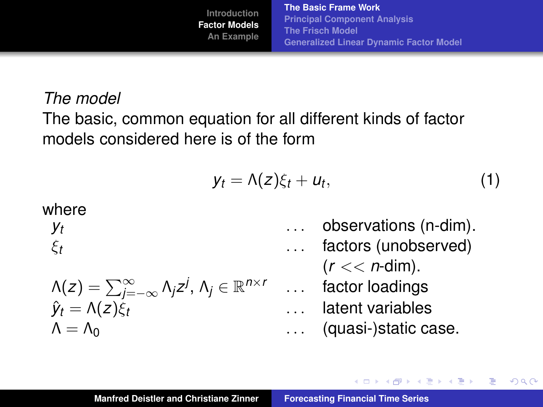**[The Basic Frame Work](#page-9-0) [Principal Component Analysis](#page-14-0) [The Frisch Model](#page-18-0) [Generalized Linear Dynamic Factor Model](#page-23-0)**

## *The model*

The basic, common equation for all different kinds of factor models considered here is of the form

<span id="page-10-0"></span>
$$
y_t = \Lambda(z)\xi_t + u_t, \qquad (1)
$$

where 
$$
y_t
$$

ξ*t*

$$
\ldots \quad \text{obse} \\ \text{for}
$$

$$
\Lambda(z) = \sum_{j=-\infty}^{\infty} \Lambda_j z^j, \, \Lambda_j \in \mathbb{R}^{n \times r}
$$

$$
\hat{y}_t = \Lambda(z) \xi_t
$$

. . . observations (n-dim). . . . factors (unobserved) (*r* << *n*-dim). . . . factor loadings . . . latent variables

$$
\Lambda = \Lambda_0
$$
 (quasi-)static case.

イロトス 伊 トス ヨ トス ヨ トー

重

 $2Q$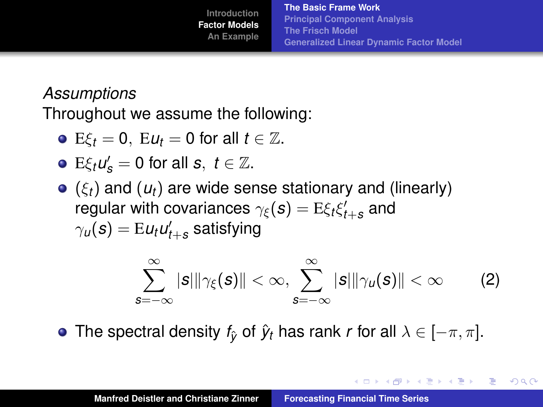イロメ イ団メ イヨメ イヨメー

重

 $2Q$ 

## *Assumptions*

Throughout we assume the following:

• 
$$
E\xi_t = 0
$$
,  $Eu_t = 0$  for all  $t \in \mathbb{Z}$ .

• 
$$
E\xi_t u'_s = 0
$$
 for all  $s, t \in \mathbb{Z}$ .

(ξ*t*) and (*ut*) are wide sense stationary and (linearly) regular with covariances  $\gamma_{\boldsymbol{\xi}}(\boldsymbol{s}) = \mathrm{E} \xi_t \xi_{t+\boldsymbol{s}}'$  and  $\gamma_u(\bm{s}) = \mathrm{E} \bm{u}_t \bm{u}_{t+\bm{s}}'$  satisfying

$$
\sum_{s=-\infty}^{\infty} |s| \|\gamma_{\xi}(s)\| < \infty, \sum_{s=-\infty}^{\infty} |s| \|\gamma_{u}(s)\| < \infty \qquad (2)
$$

**•** The spectral density  $f_{\hat{V}}$  of  $\hat{y}_t$  has rank *r* for all  $\lambda \in [-\pi, \pi]$ .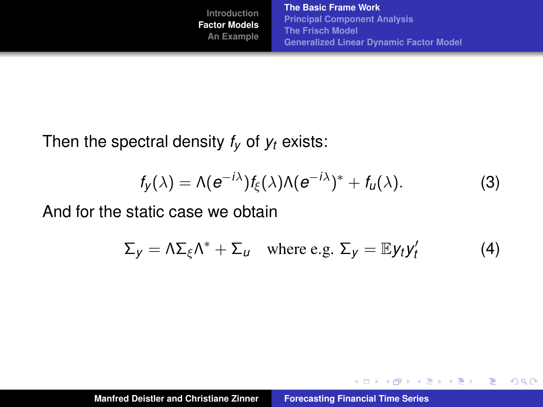**[The Basic Frame Work](#page-9-0) [Principal Component Analysis](#page-14-0) [The Frisch Model](#page-18-0) [Generalized Linear Dynamic Factor Model](#page-23-0)**

イロトス 御 トス 言 トス 言 トー

重

 $298$ 

Then the spectral density  $f_V$  of  $y_t$  exists:

$$
f_{y}(\lambda) = \Lambda(e^{-i\lambda})f_{\xi}(\lambda)\Lambda(e^{-i\lambda})^* + f_{u}(\lambda).
$$
 (3)

And for the static case we obtain

$$
\Sigma_y = \Lambda \Sigma_{\xi} \Lambda^* + \Sigma_u \quad \text{where e.g. } \Sigma_y = \mathbb{E} y_t y_t' \tag{4}
$$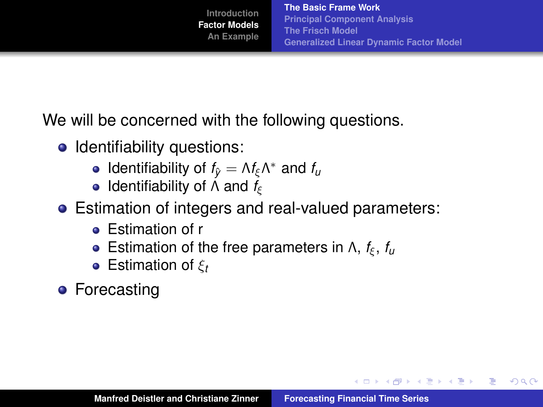イロメ イ部メ イ君メ イ君メー

重

 $298$ 

We will be concerned with the following questions.

- Identifiability questions:
	- Identifiability of  $f_{\hat{y}} = \Lambda f_{\xi} \Lambda^*$  and  $f_u$
	- **•** Identifiability of Λ and *f<sub>ξ</sub>*
- Estimation of integers and real-valued parameters:
	- **•** Estimation of r
	- **•** Estimation of the free parameters in  $\Lambda$ ,  $f_{\xi}$ ,  $f_{\mu}$
	- Estimation of ξ*<sup>t</sup>*
- **•** Forecasting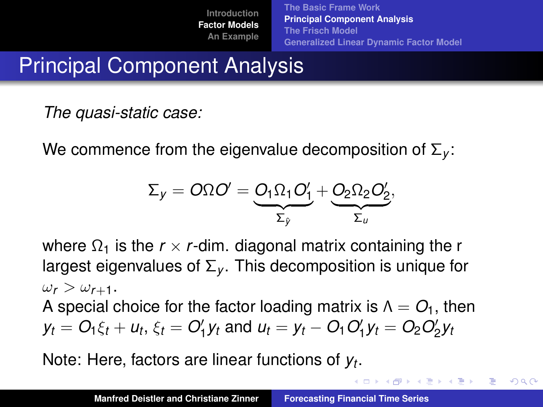**[The Basic Frame Work](#page-9-0) [Principal Component Analysis](#page-14-0) [The Frisch Model](#page-18-0) [Generalized Linear Dynamic Factor Model](#page-23-0)**

イロメ イ団メ イヨメ イヨメー

B

<span id="page-14-0"></span> $QQQ$ 

# Principal Component Analysis

*The quasi-static case:*

We commence from the eigenvalue decomposition of Σ*<sup>y</sup>* :

$$
\Sigma_y = O\Omega O' = \underbrace{O_1 \Omega_1 O'_1}_{\Sigma_y} + \underbrace{O_2 \Omega_2 O'_2}_{\Sigma_u},
$$

where  $\Omega_1$  is the  $r \times r$ -dim. diagonal matrix containing the r largest eigenvalues of  $\Sigma_{v}$ . This decomposition is unique for  $\omega_r > \omega_{r+1}$ . A special choice for the factor loading matrix is  $\Lambda = O_1$ , then *y*<sub>t</sub> =  $O_1\xi_t + u_t$ ,  $\xi_t = O'_1y_t$  and  $u_t = y_t - O_1O'_1y_t = O_2O'_2y_t$ 

Note: Here, factors are linear functions of *y<sup>t</sup>* .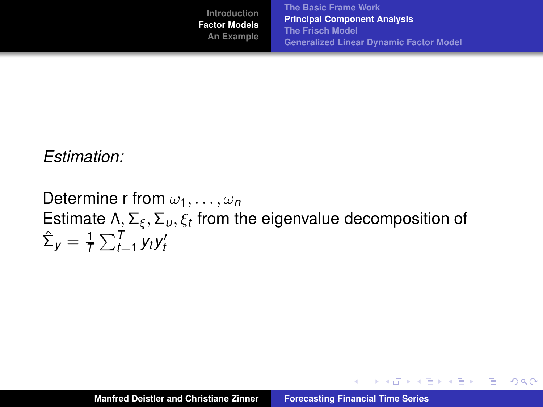イロメ イ部メ イヨメ イヨメー

 $2Q$ 

重

## *Estimation:*

Determine r from  $\omega_1, \ldots, \omega_n$ Estimate Λ, Σ $_{\xi}$ , Σ<sub>u</sub>,  $\xi_{t}$  from the eigenvalue decomposition of  $\hat{\Sigma}_y = \frac{1}{7}$  $\frac{1}{T}\sum_{t=1}^{T}y_t y_t'$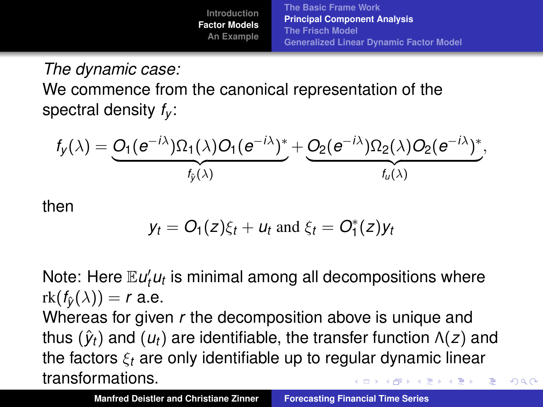**[The Basic Frame Work](#page-9-0) [Principal Component Analysis](#page-14-0) [The Frisch Model](#page-18-0) [Generalized Linear Dynamic Factor Model](#page-23-0)**

 $QQ$ 

*The dynamic case:* We commence from the canonical representation of the spectral density *f<sup>y</sup>* :

$$
f_{y}(\lambda) = \underbrace{O_{1}(e^{-i\lambda})\Omega_{1}(\lambda)O_{1}(e^{-i\lambda})^{*}}_{f_{y}(\lambda)} + \underbrace{O_{2}(e^{-i\lambda})\Omega_{2}(\lambda)O_{2}(e^{-i\lambda})^{*}}_{f_{u}(\lambda)},
$$

then

$$
y_t = O_1(z)\xi_t + u_t \text{ and } \xi_t = O_1^*(z)y_t
$$

Note: Here  $\mathbb{E} u_t^{\prime} u_t$  is minimal among all decompositions where  $rk(f_{\hat{v}}(\lambda)) = r$  a.e.

Whereas for given *r* the decomposition above is unique and thus  $(\hat{\mathbf{y}}_t)$  and  $(\mathbf{u}_t)$  are identifiable, the transfer function  $\Lambda(z)$  and the factors ξ*<sup>t</sup>* are only identifiable up to regular dynamic linear transformations. イロメ イ団メ イヨメ イヨメー 重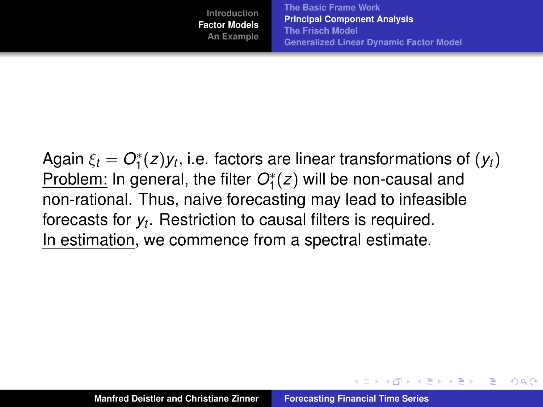**[The Basic Frame Work](#page-9-0) [Principal Component Analysis](#page-14-0) [The Frisch Model](#page-18-0) [Generalized Linear Dynamic Factor Model](#page-23-0)**

イロメ イ部メ イヨメ イヨメー

<span id="page-17-0"></span>Þ

 $QQ$ 

Again  $\xi_t = O_1^*(z)$ y $_t$ , i.e. factors are linear transformations of  $(y_t)$ Problem: In general, the filter *O*<sup>∗</sup> 1 (*z*) will be non-causal and non-rational. Thus, naive forecasting may lead to infeasible forecasts for *y<sup>t</sup>* . Restriction to causal filters is required. In estimation, we commence from a spectral estimate.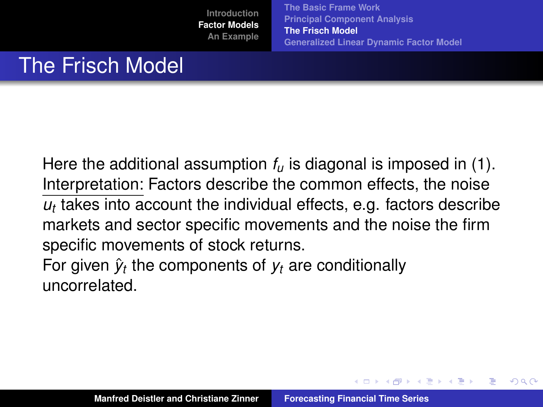**[The Basic Frame Work](#page-9-0) [Principal Component Analysis](#page-14-0) [The Frisch Model](#page-18-0) [Generalized Linear Dynamic Factor Model](#page-23-0)**

(ロトス個) (運) (運)

<span id="page-18-0"></span>Þ

 $QQ$ 

# The Frisch Model

Here the additional assumption *f<sup>u</sup>* is diagonal is imposed in [\(1\)](#page-10-0). Interpretation: Factors describe the common effects, the noise  $u_t$  takes into account the individual effects, e.g. factors describe markets and sector specific movements and the noise the firm specific movements of stock returns.

For given  $\hat{y}_t$  the components of  $y_t$  are conditionally uncorrelated.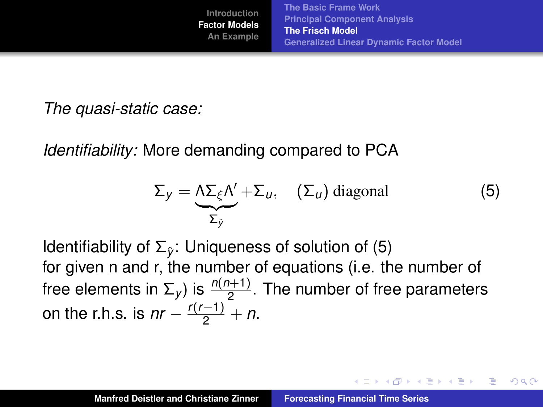イロメ イ団メ イヨメ イヨメー

重

<span id="page-19-1"></span> $QQ$ 

*The quasi-static case:*

*Identifiability:* More demanding compared to PCA

<span id="page-19-0"></span>
$$
\Sigma_{y} = \underbrace{\Lambda \Sigma_{\xi} \Lambda'}_{\Sigma_{y}} + \Sigma_{u}, \quad (\Sigma_{u}) \text{ diagonal} \tag{5}
$$

Identifiability of Σ*y*ˆ: Uniqueness of solution of [\(5\)](#page-19-0) for given n and r, the number of equations (i.e. the number of free elements in  $\Sigma_y$ ) is  $\frac{n(n+1)}{2}$ . The number of free parameters on the r.h.s. is  $nr - \frac{r(r-1)}{2} + n$ .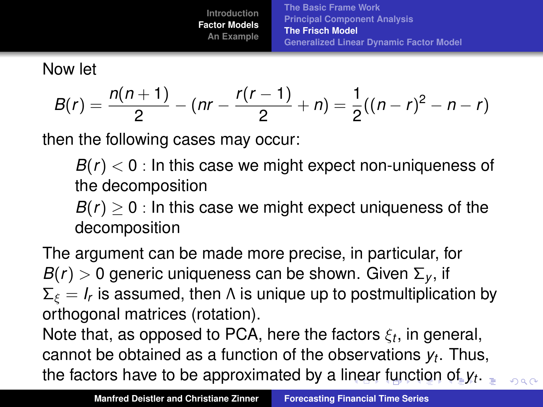<span id="page-20-0"></span>**[The Basic Frame Work](#page-9-0) [Principal Component Analysis](#page-14-0) [The Frisch Model](#page-18-0) [Generalized Linear Dynamic Factor Model](#page-23-0)**

Now let

$$
B(r)=\frac{n(n+1)}{2}-(nr-\frac{r(r-1)}{2}+n)=\frac{1}{2}((n-r)^{2}-n-r)
$$

then the following cases may occur:

 $B(r) < 0$ : In this case we might expect non-uniqueness of the decomposition

 $B(r) > 0$ : In this case we might expect uniqueness of the decomposition

The argument can be made more precise, in particular, for  $B(r) > 0$  generic uniqueness can be shown. Given  $\Sigma_{v}$ , if  $\Sigma_\xi = I_r$  is assumed, then Λ is unique up to postmultiplication by orthogonal matrices (rotation).

Note that, as opposed to PCA, here the factors ξ*<sup>t</sup>* , in general, cannot be obtained as a function of the observations *y<sup>t</sup>* . Thus, the factors have to be approximated by a li[ne](#page-19-1)[ar](#page-21-0) [f](#page-19-1)[un](#page-20-0)[c](#page-21-0)[t](#page-17-0)[io](#page-18-0)[n](#page-23-0) [o](#page-7-0)[f](#page-8-0) *[y](#page-41-0)<sup>t</sup>* [.](#page-0-0)  $-990$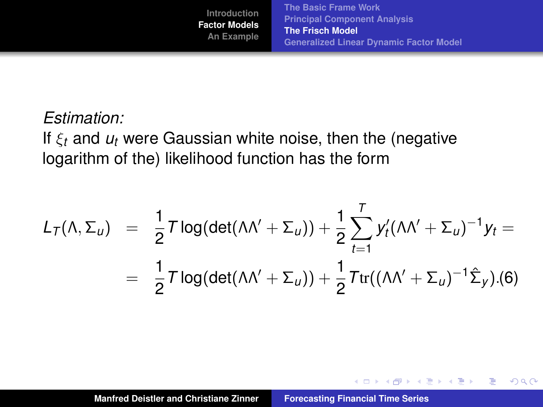イロト イ部 トイミト イヨト

 $2Q$ 

<span id="page-21-0"></span>重

#### *Estimation:*

If ξ*<sup>t</sup>* and *u<sup>t</sup>* were Gaussian white noise, then the (negative logarithm of the) likelihood function has the form

$$
L_T(\Lambda, \Sigma_u) = \frac{1}{2} T \log(\det(\Lambda \Lambda' + \Sigma_u)) + \frac{1}{2} \sum_{t=1}^T y_t' (\Lambda \Lambda' + \Sigma_u)^{-1} y_t =
$$
  
= 
$$
\frac{1}{2} T \log(\det(\Lambda \Lambda' + \Sigma_u)) + \frac{1}{2} T \text{tr}((\Lambda \Lambda' + \Sigma_u)^{-1} \hat{\Sigma}_y). (6)
$$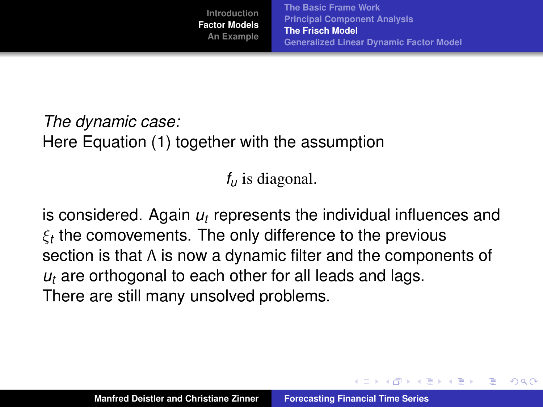イロメ イ部メ イヨメ イヨメー

<span id="page-22-0"></span>Þ

 $QQ$ 

# *The dynamic case:* Here Equation [\(1\)](#page-10-0) together with the assumption

*f<sup>u</sup>* is diagonal.

is considered. Again *u<sup>t</sup>* represents the individual influences and  $\xi_t$  the comovements. The only difference to the previous section is that Λ is now a dynamic filter and the components of *u<sup>t</sup>* are orthogonal to each other for all leads and lags. There are still many unsolved problems.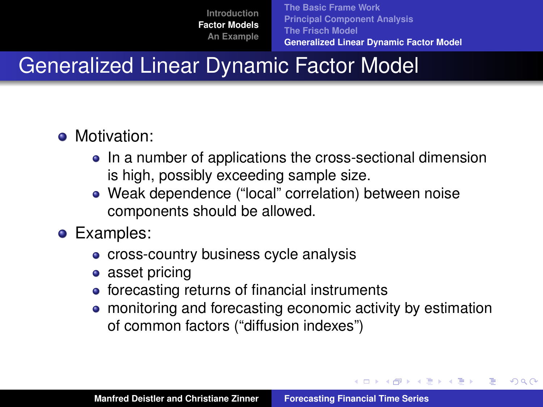**[The Basic Frame Work](#page-9-0) [Principal Component Analysis](#page-14-0) [The Frisch Model](#page-18-0) [Generalized Linear Dynamic Factor Model](#page-23-0)**

イロメ イ部メ イヨメ イヨメー

<span id="page-23-0"></span>Þ

 $QQ$ 

# Generalized Linear Dynamic Factor Model

- **Motivation:** 
	- In a number of applications the cross-sectional dimension is high, possibly exceeding sample size.
	- Weak dependence ("local" correlation) between noise components should be allowed.
- **•** Examples:
	- cross-country business cycle analysis
	- asset pricing
	- forecasting returns of financial instruments
	- monitoring and forecasting economic activity by estimation of common factors ("diffusion indexes")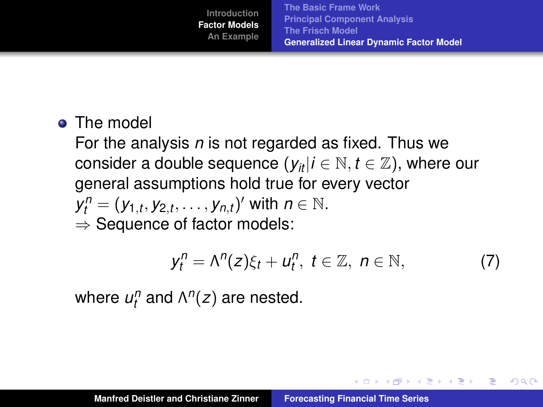**o** The model

For the analysis *n* is not regarded as fixed. Thus we consider a double sequence  $(y_{it} | i \in \mathbb{N}, t \in \mathbb{Z})$ , where our general assumptions hold true for every vector  $y_t^n = (y_{1,t}, y_{2,t}, \ldots, y_{n,t})'$  with  $n \in \mathbb{N}$ .  $\Rightarrow$  Sequence of factor models:

$$
y_t^n = \Lambda^n(z)\xi_t + u_t^n, \ t \in \mathbb{Z}, \ n \in \mathbb{N}, \tag{7}
$$

イロメ イ団メ イヨメ イヨメー

重

 $QQ$ 

where  $u_t^n$  and  $\Lambda^n(z)$  are nested.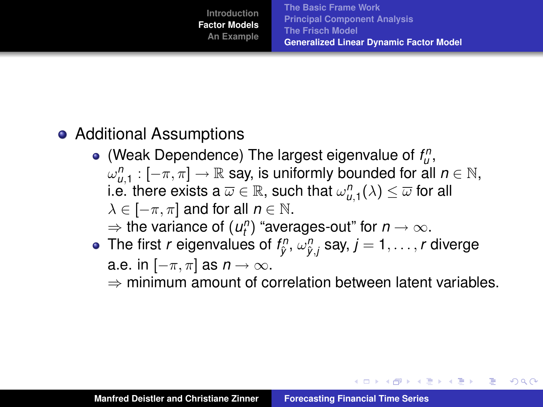イロメ イ団メ イヨメ イヨメー

 $2Q$ 

B

# Additional Assumptions

- (Weak Dependence) The largest eigenvalue of  $f_{u}^{n}$ ,  $\omega_{u,1}^n:[-\pi,\pi]\to\mathbb{R}$  say, is uniformly bounded for all  $n\in\mathbb{N},$ i.e. there exists a  $\overline{\omega}\in\mathbb{R},$  such that  $\omega_{u,1}^n(\lambda)\leq\overline{\omega}$  for all  $\lambda \in [-\pi, \pi]$  and for all  $n \in \mathbb{N}$ .  $\Rightarrow$  the variance of  $(u_l^n)$  "averages-out" for  $n \to \infty$ .
- The first  $r$  eigenvalues of  $f_{\hat{y}}^n$ ,  $\omega_{\hat{y},j}^n$  say,  $j=1,\ldots,r$  diverge a.e. in  $[-\pi, \pi]$  as  $n \to \infty$ .

 $\Rightarrow$  minimum amount of correlation between latent variables.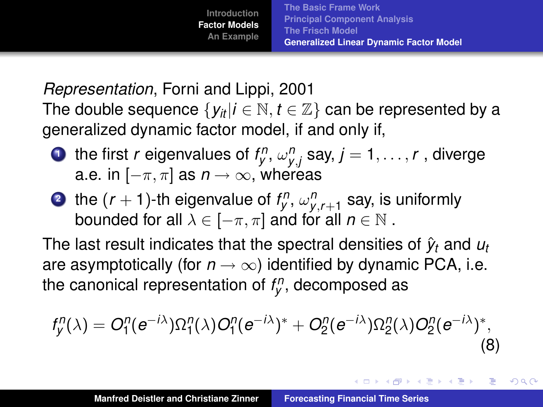K ロ ⊁ K 伊 ⊁ K 君 ⊁ K 君 ⊁ .

 $2Q$ 

*Representation*, Forni and Lippi, 2001 The double sequence  $\{y_i | i \in \mathbb{N}, t \in \mathbb{Z}\}$  can be represented by a generalized dynamic factor model, if and only if,

- **1** the first *r* eigenvalues of  $f_{y}^{n}$ ,  $\omega_{y,j}^{n}$  say,  $j = 1, \ldots, r$  , diverge a.e. in  $[-\pi, \pi]$  as  $n \to \infty$ , whereas
- **2** the  $(r + 1)$ -th eigenvalue of  $f_{y}^{n}$ ,  $\omega_{y, r+1}^{n}$  say, is uniformly bounded for all  $\lambda \in [-\pi, \pi]$  and for all  $n \in \mathbb{N}$ .

The last result indicates that the spectral densities of  $\hat{y}_t$  and  $u_t$ are asymptotically (for  $n \to \infty$ ) identified by dynamic PCA, i.e. the canonical representation of *f n y* , decomposed as

$$
f''_y(\lambda) = O_1^n(e^{-i\lambda})\Omega_1^n(\lambda)O_1^n(e^{-i\lambda})^* + O_2^n(e^{-i\lambda})\Omega_2^n(\lambda)O_2^n(e^{-i\lambda})^*,
$$
\n(8)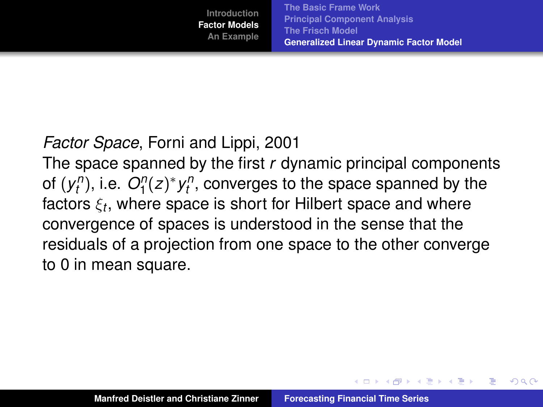イロメ イ部メ イヨメ イヨメー

Þ

 $QQ$ 

## *Factor Space*, Forni and Lippi, 2001

The space spanned by the first *r* dynamic principal components of  $(y_t^n)$ , i.e.  $O_1^n(z)^* y_t^n$ , converges to the space spanned by the factors ξ*<sup>t</sup>* , where space is short for Hilbert space and where convergence of spaces is understood in the sense that the residuals of a projection from one space to the other converge to 0 in mean square.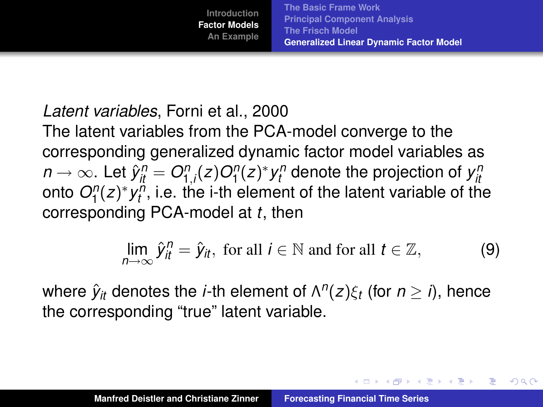イロメ イ団メ イヨメ イヨメー

 $2Q$ 

B

## *Latent variables*, Forni et al., 2000

The latent variables from the PCA-model converge to the corresponding generalized dynamic factor model variables as  $n \to \infty$ . Let  $\hat{y}^n_{it} = O^n_{1,i}(z) O^n_{1}(z)^* y^n_t$  denote the projection of  $y^n_{it}$ onto  $O_{1}^{n}(z)^{*}$   $y_{t}^{n}$ , i.e. the i-th element of the latent variable of the corresponding PCA-model at *t*, then

$$
\lim_{n\to\infty} \hat{y}_{it}^n = \hat{y}_{it}, \text{ for all } i \in \mathbb{N} \text{ and for all } t \in \mathbb{Z}, \tag{9}
$$

where  $\hat{y}_{it}$  denotes the *i*-th element of  $\Lambda^n(z)\xi_t$  (for  $n\geq i$ ), hence the corresponding "true" latent variable.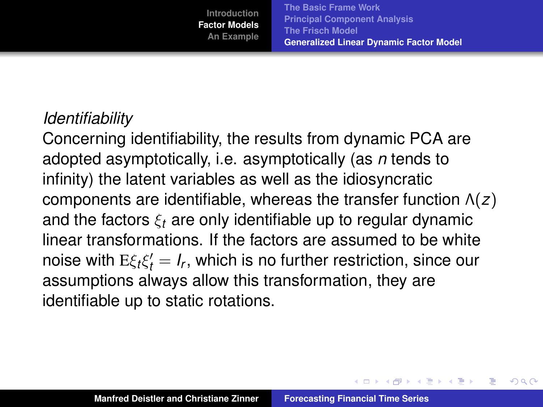**[The Basic Frame Work](#page-9-0) [Principal Component Analysis](#page-14-0) [The Frisch Model](#page-18-0) [Generalized Linear Dynamic Factor Model](#page-23-0)**

イロメ イ部メ イヨメ イヨメー

Þ

 $QQ$ 

#### *Identifiability*

Concerning identifiability, the results from dynamic PCA are adopted asymptotically, i.e. asymptotically (as *n* tends to infinity) the latent variables as well as the idiosyncratic components are identifiable, whereas the transfer function Λ(*z*) and the factors  $\xi_t$  are only identifiable up to regular dynamic linear transformations. If the factors are assumed to be white noise with  $E\xi_t\xi'_t = I_r$ , which is no further restriction, since our assumptions always allow this transformation, they are identifiable up to static rotations.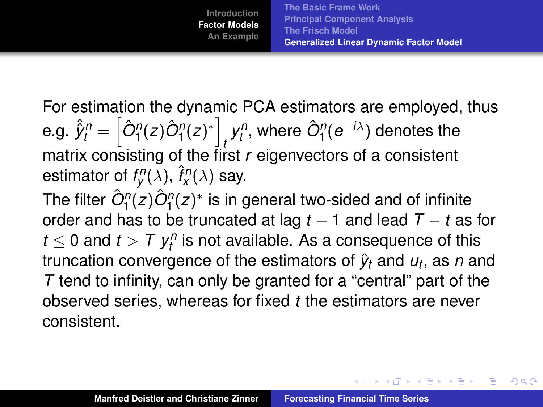イロメ イ部メ イヨメ イヨメー

 $QQ$ 

For estimation the dynamic PCA estimators are employed, thus  $\hat{e}.\hat{g}. \ \hat{\hat{y}}_t^n = \left[\hat{O}^n_1(z)\hat{O}^n_1(z)^*\right]$  $\hat{p}^{\prime\prime}_t$ , where  $\hat{O}^{\prime\prime}_1(e^{-i\lambda})$  denotes the matrix consisting of the first *r* eigenvectors of a consistent estimator of  $f_{\mathcal{Y}}^n(\lambda)$ ,  $\hat{f}_{\mathcal{X}}^n(\lambda)$  say.

The filter  $\hat{O}^\eta_1(z) \hat{O}^\eta_1(z)^*$  is in general two-sided and of infinite order and has to be truncated at lag *t* − 1 and lead *T* − *t* as for  $t \leq 0$  and  $t > T$   $y_t^n$  is not available. As a consequence of this truncation convergence of the estimators of  $\hat{y}_t$  and  $u_t$ , as  $n$  and *T* tend to infinity, can only be granted for a "central" part of the observed series, whereas for fixed *t* the estimators are never consistent.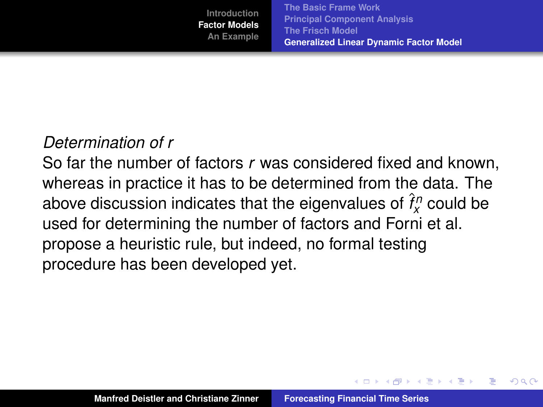**[The Basic Frame Work](#page-9-0) [Principal Component Analysis](#page-14-0) [The Frisch Model](#page-18-0) [Generalized Linear Dynamic Factor Model](#page-23-0)**

イロト イ押 トイラ トイラト

Þ

 $QQ$ 

## *Determination of r*

So far the number of factors *r* was considered fixed and known, whereas in practice it has to be determined from the data. The above discussion indicates that the eigenvalues of  $\hat{f}^n_\chi$  could be used for determining the number of factors and Forni et al. propose a heuristic rule, but indeed, no formal testing procedure has been developed yet.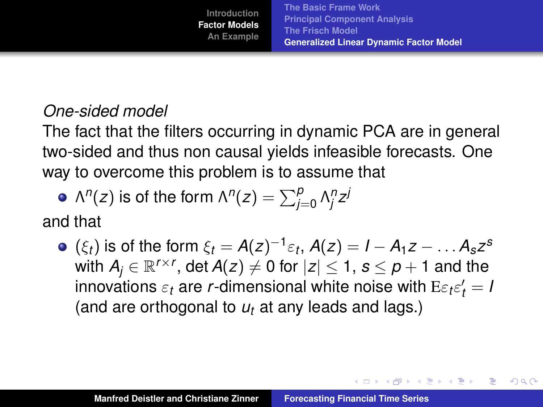イロメ イ部メ イヨメ イヨメー

B

 $QQ$ 

## *One-sided model*

The fact that the filters occurring in dynamic PCA are in general two-sided and thus non causal yields infeasible forecasts. One way to overcome this problem is to assume that

• 
$$
\Lambda^n(z)
$$
 is of the form  $\Lambda^n(z) = \sum_{j=0}^p \Lambda^n_j z^j$ 

and that

 $(\xi_t)$  is of the form  $\xi_t = A(z)^{-1} \varepsilon_t$ ,  $A(z) = I - A_1 z - \dots A_s z^s$ with  $A_j \in \mathbb{R}^{r \times r}$ , det  $A(z) \neq 0$  for  $|z| \leq 1$ ,  $s \leq p+1$  and the innovations  $\varepsilon_t$  are *r*-dimensional white noise with  $\mathrm{E}{\varepsilon_t}{\varepsilon'_t}=I$ (and are orthogonal to *u<sup>t</sup>* at any leads and lags.)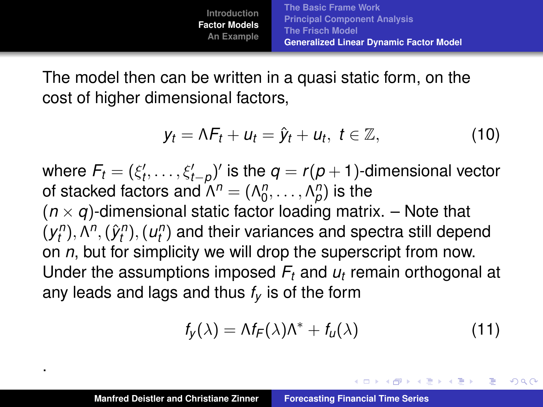The model then can be written in a quasi static form, on the cost of higher dimensional factors,

$$
y_t = \Lambda F_t + u_t = \hat{y}_t + u_t, \ t \in \mathbb{Z}, \qquad (10)
$$

where  $\mathcal{F}_t = (\xi'_t, \ldots, \xi'_{t - \rho})'$  is the  $q = r(p + 1)$ -dimensional vector of stacked factors and  $\Lambda^n = (\Lambda_0^n, \ldots, \Lambda_p^n)$  is the  $(n \times q)$ -dimensional static factor loading matrix.  $-$  Note that  $(y_{t}^{n}), \Lambda^{n}, (\hat{y}_{t}^{n}), (u_{t}^{n})$  and their variances and spectra still depend on *n*, but for simplicity we will drop the superscript from now. Under the assumptions imposed *F<sup>t</sup>* and *u<sup>t</sup>* remain orthogonal at any leads and lags and thus *f<sup>y</sup>* is of the form

$$
f_{y}(\lambda) = \Lambda f_{F}(\lambda)\Lambda^* + f_{u}(\lambda)
$$
 (11)

イロメ イ部メ イヨメ イヨメー

 $2Q$ 

B

.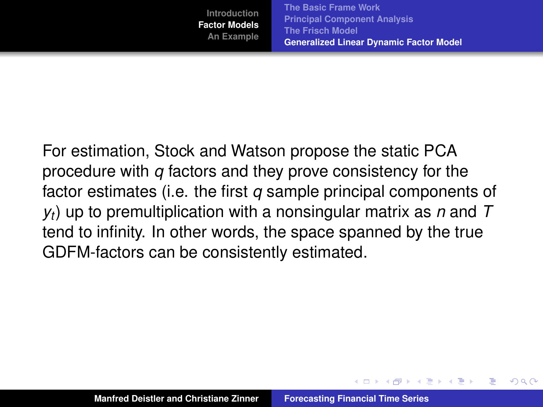**[The Basic Frame Work](#page-9-0) [Principal Component Analysis](#page-14-0) [The Frisch Model](#page-18-0) [Generalized Linear Dynamic Factor Model](#page-23-0)**

 $\sqrt{m}$   $\rightarrow$   $\sqrt{m}$   $\rightarrow$   $\sqrt{m}$   $\rightarrow$ 

Þ

 $QQ$ 

For estimation, Stock and Watson propose the static PCA procedure with *q* factors and they prove consistency for the factor estimates (i.e. the first *q* sample principal components of *yt*) up to premultiplication with a nonsingular matrix as *n* and *T* tend to infinity. In other words, the space spanned by the true GDFM-factors can be consistently estimated.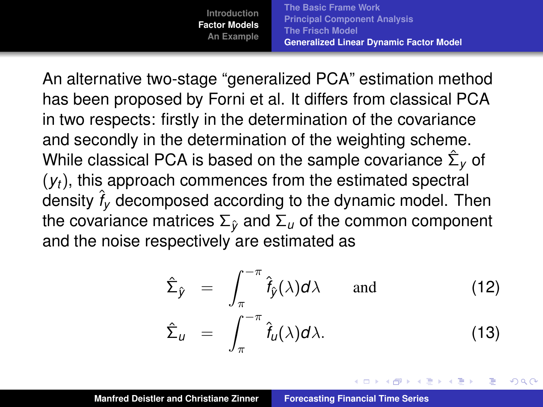**[The Basic Frame Work](#page-9-0) [Principal Component Analysis](#page-14-0) [The Frisch Model](#page-18-0) [Generalized Linear Dynamic Factor Model](#page-23-0)**

An alternative two-stage "generalized PCA" estimation method has been proposed by Forni et al. It differs from classical PCA in two respects: firstly in the determination of the covariance and secondly in the determination of the weighting scheme. While classical PCA is based on the sample covariance  $\hat{\Sigma}_\mathsf{y}$  of (*yt*), this approach commences from the estimated spectral density  $\hat{f}_V$  decomposed according to the dynamic model. Then the covariance matrices  $\Sigma_{\hat{v}}$  and  $\Sigma_{u}$  of the common component and the noise respectively are estimated as

$$
\hat{\Sigma}_{\hat{y}} = \int_{\pi}^{-\pi} \hat{f}_{\hat{y}}(\lambda) d\lambda \quad \text{and} \quad (12)
$$
\n
$$
\hat{\Sigma}_{u} = \int_{\pi}^{-\pi} \hat{f}_{u}(\lambda) d\lambda. \quad (13)
$$

 $\overline{AB}$   $\rightarrow$   $\overline{AB}$   $\rightarrow$   $\overline{AB}$   $\rightarrow$ 

Þ

 $QQ$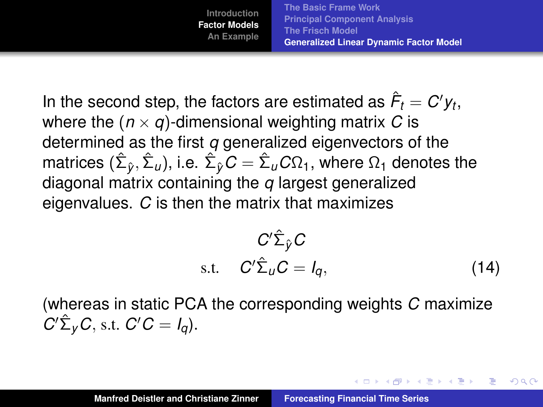**[The Basic Frame Work](#page-9-0) [Principal Component Analysis](#page-14-0) [The Frisch Model](#page-18-0) [Generalized Linear Dynamic Factor Model](#page-23-0)**

In the second step, the factors are estimated as  $\hat{\mathsf{F}}_t = C' \mathsf{y}_t,$ where the  $(n \times q)$ -dimensional weighting matrix C is determined as the first *q* generalized eigenvectors of the  $_1$ matrices  $(\hat{\Sigma}_{\hat{y}}, \hat{\Sigma}_{\iota\iota}),$  i.e.  $\hat{\Sigma}_{\hat{y}} C = \hat{\Sigma}_{\iota\iota} C \Omega_1,$  where  $\Omega_1$  denotes the diagonal matrix containing the *q* largest generalized eigenvalues. *C* is then the matrix that maximizes

$$
C'\hat{\Sigma}_{\hat{y}}C
$$
  
s.t. 
$$
C'\hat{\Sigma}_U C = I_q,
$$
 (14)

イロメ イ部メ イヨメ イヨメー

Þ

 $QQ$ 

(whereas in static PCA the corresponding weights *C* maximize  $C' \hat{\Sigma}_y C$ , s.t.  $C' C = I_q$ ).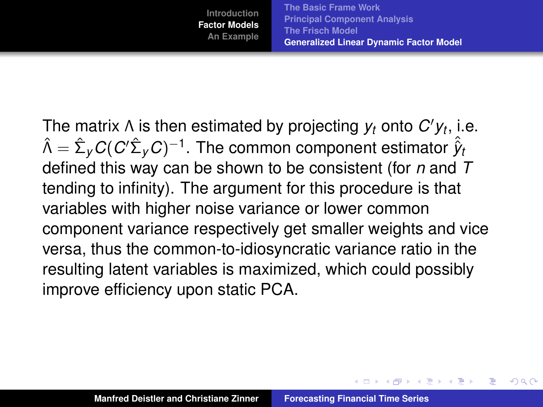イロメ イ部メ イヨメ イヨメー

Þ

 $QQ$ 

The matrix  $\Lambda$  is then estimated by projecting  $y_t$  onto  $C'y_t$ , i.e.  $\hat{\Lambda} = \hat{\Sigma}_y C (C'\hat{\Sigma}_y C)^{-1}.$  The common component estimator  $\hat{\hat{y}}_t$ defined this way can be shown to be consistent (for *n* and *T* tending to infinity). The argument for this procedure is that variables with higher noise variance or lower common component variance respectively get smaller weights and vice versa, thus the common-to-idiosyncratic variance ratio in the resulting latent variables is maximized, which could possibly improve efficiency upon static PCA.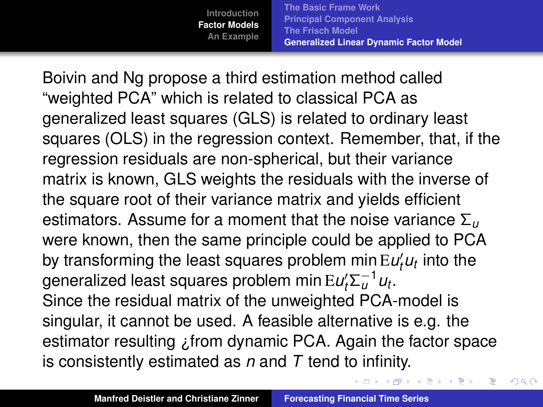**[The Basic Frame Work](#page-9-0) [Principal Component Analysis](#page-14-0) [The Frisch Model](#page-18-0) [Generalized Linear Dynamic Factor Model](#page-23-0)**

(ロトス個) (運) (運)

 $2Q$ 

É

Boivin and Ng propose a third estimation method called "weighted PCA" which is related to classical PCA as generalized least squares (GLS) is related to ordinary least squares (OLS) in the regression context. Remember, that, if the regression residuals are non-spherical, but their variance matrix is known, GLS weights the residuals with the inverse of the square root of their variance matrix and yields efficient estimators. Assume for a moment that the noise variance Σ*<sup>u</sup>* were known, then the same principle could be applied to PCA by transforming the least squares problem min  $EU_t^t u_t$  into the generalized least squares problem min $\mathrm{E} u_t^\prime \Sigma_u^{-1} u_t.$ Since the residual matrix of the unweighted PCA-model is singular, it cannot be used. A feasible alternative is e.g. the estimator resulting ¿from dynamic PCA. Again the factor space is consistently estimated as *n* and *T* tend to infinity.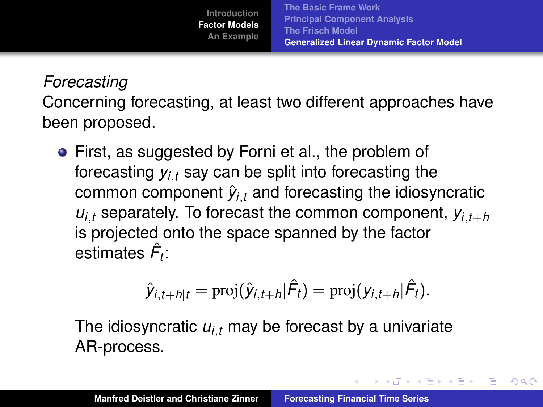イロメ イ団メ イヨメ イヨメー

 $2Q$ 

重

## *Forecasting*

Concerning forecasting, at least two different approaches have been proposed.

First, as suggested by Forni et al., the problem of forecasting  $y_{i,t}$  say can be split into forecasting the common component  $\hat{y}_{i,t}$  and forecasting the idiosyncratic  $u_{i,t}$  separately. To forecast the common component,  $y_{i,t+h}$ is projected onto the space spanned by the factor estimates *F*ˆ *t* :

$$
\hat{y}_{i,t+h|t} = \text{proj}(\hat{y}_{i,t+h}|\hat{F}_t) = \text{proj}(y_{i,t+h}|\hat{F}_t).
$$

The idiosyncratic  $u_{i,t}$  may be forecast by a univariate AR-process.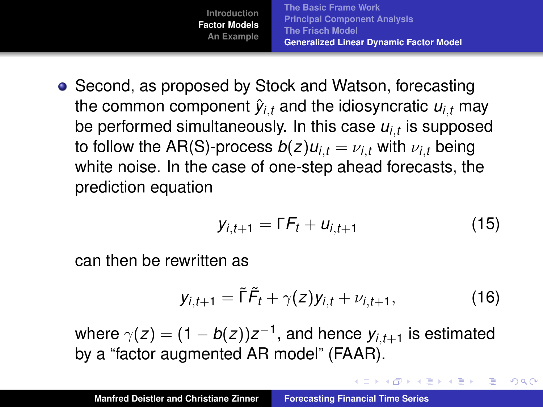

• Second, as proposed by Stock and Watson, forecasting the common component  $\hat{y}_{i,t}$  and the idiosyncratic  $u_{i,t}$  may be performed simultaneously. In this case *ui*,*<sup>t</sup>* is supposed to follow the AR(S)-process  $b(z)u_i_t = v_i$ , with  $v_i$ , being white noise. In the case of one-step ahead forecasts, the prediction equation

$$
y_{i,t+1} = \Gamma F_t + u_{i,t+1} \tag{15}
$$

イロメ イ団メ イヨメ イヨメー

重

<span id="page-40-0"></span> $2Q$ 

can then be rewritten as

$$
y_{i,t+1} = \tilde{\Gamma}\tilde{F}_t + \gamma(z)y_{i,t} + \nu_{i,t+1}, \qquad (16)
$$

where  $\gamma(z)=(1-b(z))z^{-1},$  and hence  $\bm{\mathsf{y}}_{i,t+1}$  is estimated by a "factor augmented AR model" (FAAR).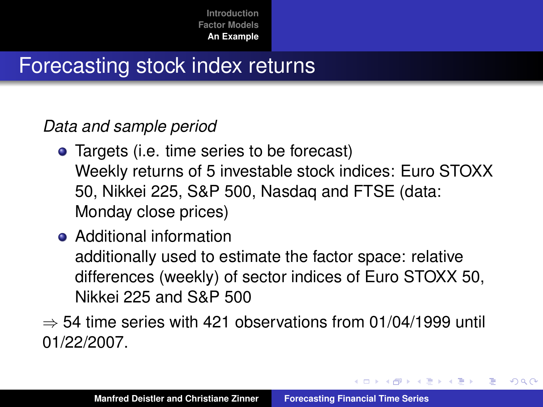# Forecasting stock index returns

### *Data and sample period*

- Targets (i.e. time series to be forecast) Weekly returns of 5 investable stock indices: Euro STOXX 50, Nikkei 225, S&P 500, Nasdaq and FTSE (data: Monday close prices)
- Additional information additionally used to estimate the factor space: relative differences (weekly) of sector indices of Euro STOXX 50, Nikkei 225 and S&P 500
- $\Rightarrow$  54 time series with 421 observations from 01/04/1999 until 01/22/2007.

 $299$ 

<span id="page-41-0"></span>∍

イ母 トイヨ トイヨ トー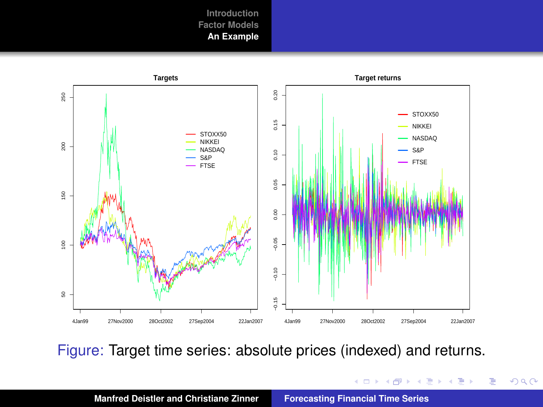

Figure: Target time series: absolute prices (indexed) and returns.

イロト イ部 トイ君 トイ君 トー

重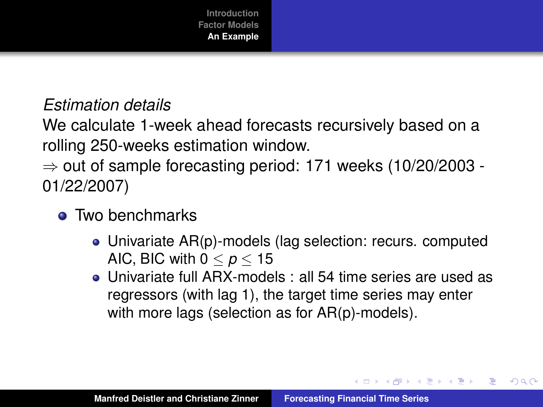

### *Estimation details*

We calculate 1-week ahead forecasts recursively based on a rolling 250-weeks estimation window.

 $\Rightarrow$  out of sample forecasting period: 171 weeks (10/20/2003 -01/22/2007)

- Two benchmarks
	- Univariate AR(p)-models (lag selection: recurs. computed AIC, BIC with  $0 < p < 15$
	- Univariate full ARX-models : all 54 time series are used as regressors (with lag 1), the target time series may enter with more lags (selection as for AR(p)-models).

イロメ イ団メ イヨメ イヨメー

重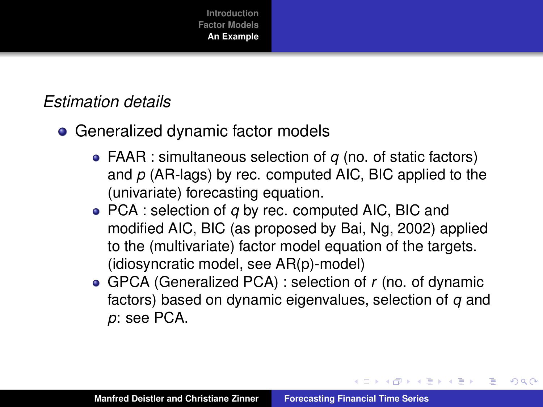## *Estimation details*

- Generalized dynamic factor models
	- FAAR : simultaneous selection of *q* (no. of static factors) and *p* (AR-lags) by rec. computed AIC, BIC applied to the (univariate) forecasting equation.
	- PCA : selection of *q* by rec. computed AIC, BIC and modified AIC, BIC (as proposed by Bai, Ng, 2002) applied to the (multivariate) factor model equation of the targets. (idiosyncratic model, see AR(p)-model)
	- GPCA (Generalized PCA) : selection of *r* (no. of dynamic factors) based on dynamic eigenvalues, selection of *q* and *p*: see PCA.

K ロ ⊁ K 伊 ⊁ K 君 ⊁ K 君 ⊁ …

重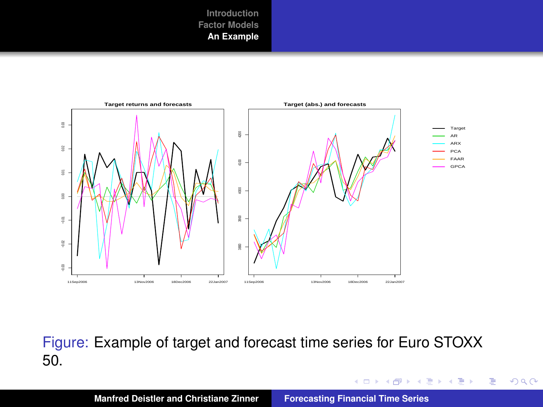

Figure: Example of target and forecast time series for Euro STOXX 50.

イロトメ 御 トメ 君 トメ 君 トー

重

 $2Q$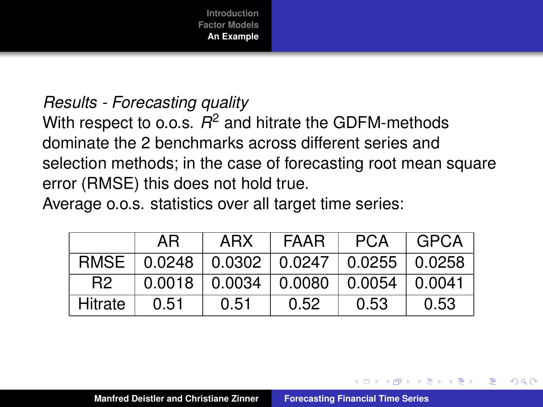

#### *Results - Forecasting quality*

With respect to o.o.s. *R* <sup>2</sup> and hitrate the GDFM-methods dominate the 2 benchmarks across different series and selection methods; in the case of forecasting root mean square error (RMSE) this does not hold true.

Average o.o.s. statistics over all target time series:

|                | ΑR   | ARX                                          | FAAR | <b>PCA</b> | GPCA   |
|----------------|------|----------------------------------------------|------|------------|--------|
| RMSE           |      | $0.0248$   0.0302   0.0247   0.0255   0.0258 |      |            |        |
| R <sub>2</sub> |      | $0.0018$   $0.0034$   $0.0080$   0.0054      |      |            | 0.0041 |
| <b>Hitrate</b> | 0.51 | 0.51                                         | 0.52 | 0.53       | 0.53   |

 $\overline{AB}$   $\rightarrow$   $\overline{B}$   $\rightarrow$   $\overline{B}$   $\rightarrow$ 

Þ

 $QQ$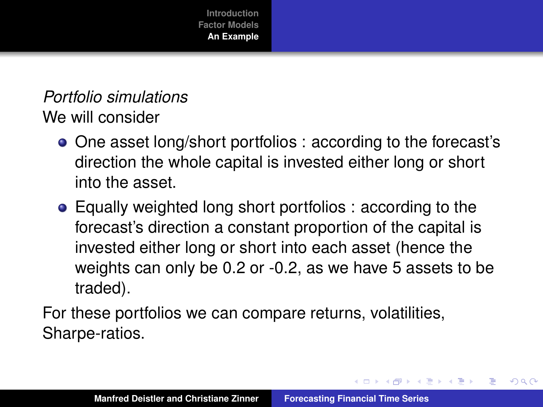*Portfolio simulations* We will consider

- One asset long/short portfolios : according to the forecast's direction the whole capital is invested either long or short into the asset.
- Equally weighted long short portfolios : according to the forecast's direction a constant proportion of the capital is invested either long or short into each asset (hence the weights can only be 0.2 or -0.2, as we have 5 assets to be traded).

For these portfolios we can compare returns, volatilities, Sharpe-ratios.

 $\overline{AB}$   $\rightarrow$   $\overline{B}$   $\rightarrow$   $\overline{AB}$   $\rightarrow$ 

重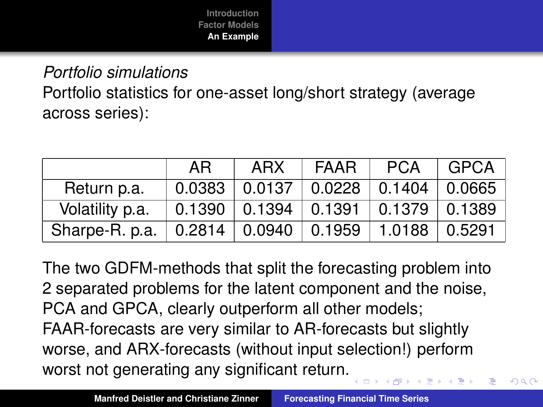*Portfolio simulations* Portfolio statistics for one-asset long/short strategy (average across series):

|                    | AR. | ARX                                          | l FAAR | PCA | GPCA |
|--------------------|-----|----------------------------------------------|--------|-----|------|
| Return p.a.        |     | $0.0383$   0.0137   0.0228   0.1404   0.0665 |        |     |      |
| Volatility p.a.    |     | $0.1390$   0.1394   0.1391   0.1379   0.1389 |        |     |      |
| Sharpe-R. p.a. $ $ |     | $0.2814$ $0.0940$ $0.1959$ $1.0188$ $0.5291$ |        |     |      |

The two GDFM-methods that split the forecasting problem into 2 separated problems for the latent component and the noise, PCA and GPCA, clearly outperform all other models; FAAR-forecasts are very similar to AR-forecasts but slightly worse, and ARX-forecasts (without input selection!) perform worst not generating any significant return.

 $QQ$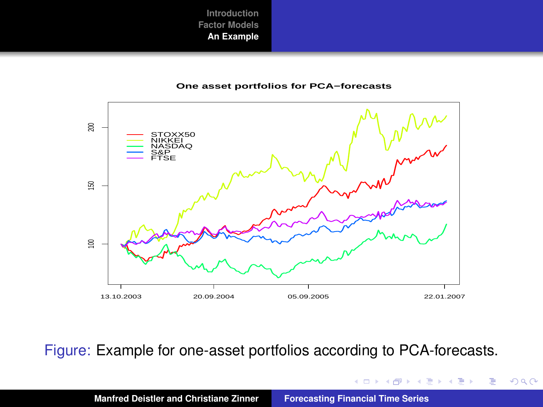#### **One asset portfolios for PCA−forecasts**



Figure: Example for one-asset portfolios according to PCA-forecasts.

イロト イ部 トイヨ トイヨト

重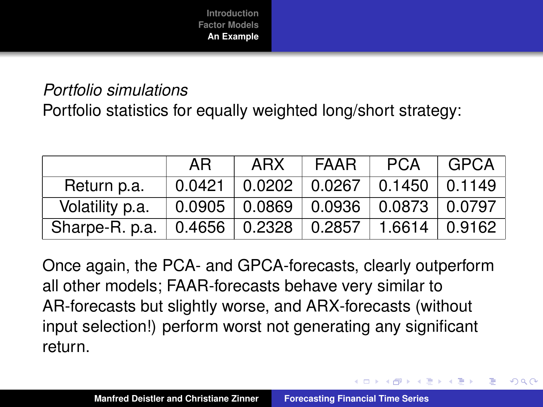## *Portfolio simulations*

Portfolio statistics for equally weighted long/short strategy:

|                 | AR. | ARX                                          | <b>FAAR</b> | <b>PCA</b> | $ $ GPCA $ $ |
|-----------------|-----|----------------------------------------------|-------------|------------|--------------|
| Return p.a.     |     | $0.0421$   0.0202   0.0267   0.1450   0.1149 |             |            |              |
| Volatility p.a. |     | $0.0905$   0.0869   0.0936   0.0873   0.0797 |             |            |              |
| Sharpe-R. p.a.  |     | $0.4656$   0.2328   0.2857   1.6614   0.9162 |             |            |              |

Once again, the PCA- and GPCA-forecasts, clearly outperform all other models; FAAR-forecasts behave very similar to AR-forecasts but slightly worse, and ARX-forecasts (without input selection!) perform worst not generating any significant return.

イロト イ母 トイヨ トイヨ トー

重

 $QQ$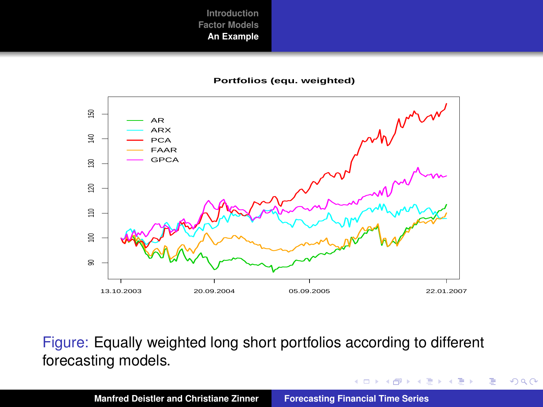#### **Portfolios (equ. weighted)**



Figure: Equally weighted long short portfolios according to different forecasting models.

 $\mathcal{A} \xrightarrow{\sim} \mathcal{B} \rightarrow \mathcal{A} \xrightarrow{\sim} \mathcal{B} \rightarrow$ 

(ロ) ( d )

重

 $2Q$